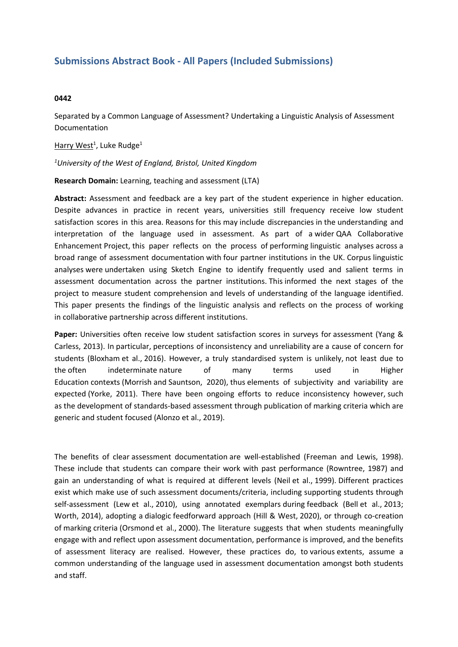## **Submissions Abstract Book - All Papers (Included Submissions)**

## **0442**

Separated by <sup>a</sup> Common Language of Assessment? Undertaking <sup>a</sup> Linguistic Analysis of Assessment Documentation

Harry West<sup>1</sup>, Luke Rudge<sup>1</sup>

*1 University of the West of England, Bristol, United Kingdom*

**Research Domain:** Learning, teaching and assessment (LTA)

**Abstract:** Assessment and feedback are <sup>a</sup> key part of the student experience in higher education. Despite advances in practice in recent years, universities still frequency receive low student satisfaction scores in this area. Reasons for this may include discrepancies in the understanding and interpretation of the language used in assessment. As part of a wider QAA Collaborative Enhancement Project, this paper reflects on the process of performing linguistic analyses across a broad range of assessment documentation with four partner institutions in the UK. Corpus linguistic analyses were undertaken using Sketch Engine to identify frequently used and salient terms in assessment documentation across the partner institutions. This informed the next stages of the project to measure student comprehension and levels of understanding of the language identified. This paper presents the findings of the linguistic analysis and reflects on the process of working in collaborative partnership across different institutions.

**Paper:** Universities often receive low student satisfaction scores in surveys for assessment (Yang & Carless, 2013). In particular, perceptions of inconsistency and unreliability are a cause of concern for students (Bloxham et al., 2016). However, <sup>a</sup> truly standardised system is unlikely, not least due to the often indeterminate nature of many terms used in Higher Education contexts (Morrish and Sauntson, 2020), thus elements of subjectivity and variability are expected (Yorke, 2011). There have been ongoing efforts to reduce inconsistency however, such as the development of standards-based assessment through publication of marking criteria which are generic and student focused (Alonzo et al., 2019).

The benefits of clear assessment documentation are well-established (Freeman and Lewis, 1998). These include that students can compare their work with past performance (Rowntree, 1987) and gain an understanding of what is required at different levels (Neil et al., 1999). Different practices exist which make use of such assessment documents/criteria, including supporting students through self-assessment (Lew et al., 2010), using annotated exemplars during feedback (Bell et al., 2013; Worth, 2014), adopting a dialogic feedforward approach (Hill & West, 2020), or through co-creation of marking criteria (Orsmond et al., 2000). The literature suggests that when students meaningfully engage with and reflect upon assessment documentation, performance is improved, and the benefits of assessment literacy are realised. However, these practices do, to various extents, assume <sup>a</sup> common understanding of the language used in assessment documentation amongst both students and staff.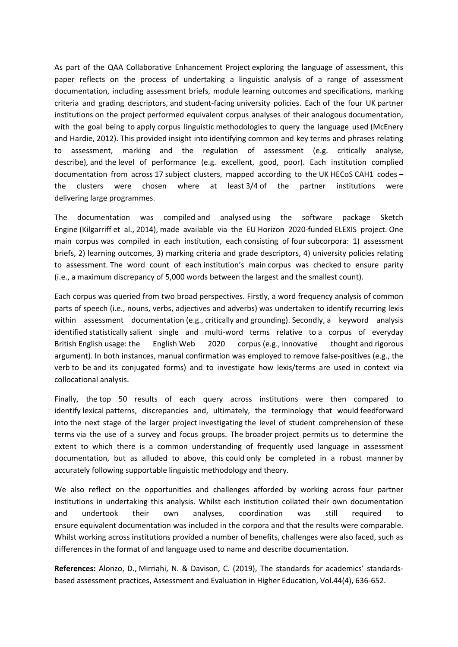As part of the QAA Collaborative Enhancement Project exploring the language of assessment, this paper reflects on the process of undertaking <sup>a</sup> linguistic analysis of <sup>a</sup> range of assessment documentation, including assessment briefs, module learning outcomes and specifications, marking criteria and grading descriptors, and student-facing university policies. Each of the four UK partner institutions on the project performed equivalent corpus analyses of their analogous documentation, with the goal being to apply corpus linguistic methodologies to query the language used (McEnery and Hardie, 2012). This provided insight into identifying common and key terms and phrases relating to assessment, marking and the regulation of assessment (e.g. critically analyse, describe), and the level of performance (e.g. excellent, good, poor). Each institution complied documentation from across 17 subject clusters, mapped according to the UK HECoS CAH1 codes – the clusters were chosen where at least 3/4 of the partner institutions were delivering large programmes.

The documentation was compiled and analysed using the software package Sketch Engine (Kilgarriff et al., 2014), made available via the EU Horizon 2020-funded ELEXIS project. One main corpus was compiled in each institution, each consisting of four subcorpora: 1) assessment briefs, 2) learning outcomes, 3) marking criteria and grade descriptors, 4) university policies relating to assessment. The word count of each institution's main corpus was checked to ensure parity (i.e., a maximum discrepancy of 5,000 words between the largest and the smallest count).

Each corpus was queried from two broad perspectives. Firstly, a word frequency analysis of common parts of speech (i.e., nouns, verbs, adjectives and adverbs) was undertaken to identify recurring lexis within assessment documentation (e.g., critically and grounding). Secondly, a keyword analysis identified statistically salient single and multi-word terms relative to a corpus of everyday British English usage: the English Web 2020 corpus (e.g., innovative thought and rigorous argument). In both instances, manual confirmation was employed to remove false-positives (e.g., the verb to be and its conjugated forms) and to investigate how lexis/terms are used in context via collocational analysis.

Finally, the top 50 results of each query across institutions were then compared to identify lexical patterns, discrepancies and, ultimately, the terminology that would feedforward into the next stage of the larger project investigating the level of student comprehension of these terms via the use of <sup>a</sup> survey and focus groups. The broader project permits us to determine the extent to which there is <sup>a</sup> common understanding of frequently used language in assessment documentation, but as alluded to above, this could only be completed in <sup>a</sup> robust manner by accurately following supportable linguistic methodology and theory.

We also reflect on the opportunities and challenges afforded by working across four partner institutions in undertaking this analysis. Whilst each institution collated their own documentation and undertook their own analyses, coordination was still required to ensure equivalent documentation was included in the corpora and that the results were comparable. Whilst working across institutions provided <sup>a</sup> number of benefits, challenges were also faced, such as differences in the format of and language used to name and describe documentation.

**References:** Alonzo, D., Mirriahi, N. & Davison, C. (2019), The standards for academics' standardsbased assessment practices, Assessment and Evaluation in Higher Education, Vol.44(4), 636-652.